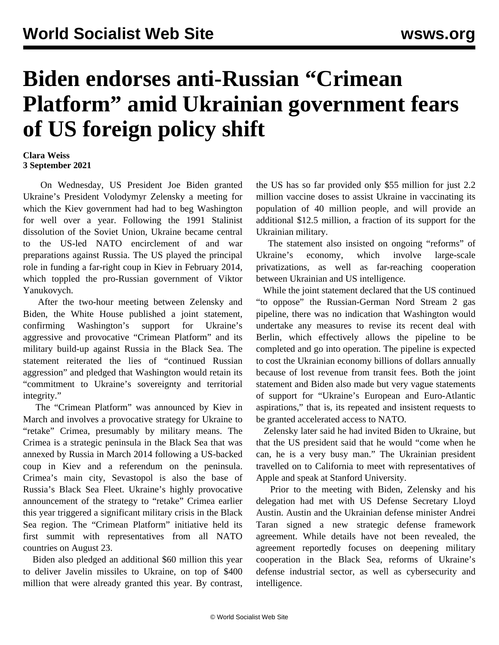## **Biden endorses anti-Russian "Crimean Platform" amid Ukrainian government fears of US foreign policy shift**

## **Clara Weiss 3 September 2021**

 On Wednesday, US President Joe Biden granted Ukraine's President Volodymyr Zelensky a meeting for which the Kiev government had had to beg Washington for well over a year. Following the 1991 Stalinist dissolution of the Soviet Union, Ukraine became central to the US-led NATO encirclement of and war preparations against Russia. The US played the principal role in funding a far-right coup in Kiev in February 2014, which toppled the pro-Russian government of Viktor Yanukovych.

 After the two-hour meeting between Zelensky and Biden, the White House published a joint statement, confirming Washington's support for Ukraine's aggressive and provocative "Crimean Platform" and its military build-up against Russia in the Black Sea. The statement reiterated the lies of "continued Russian aggression" and pledged that Washington would retain its "commitment to Ukraine's sovereignty and territorial integrity."

 The "Crimean Platform" was announced by Kiev in March and involves a provocative strategy for Ukraine to "retake" Crimea, presumably by military means. The Crimea is a strategic peninsula in the Black Sea that was annexed by Russia in March 2014 following a US-backed coup in Kiev and a referendum on the peninsula. Crimea's main city, Sevastopol is also the base of Russia's Black Sea Fleet. Ukraine's highly provocative announcement of the strategy to "retake" Crimea earlier this year triggered a significant military crisis in the Black Sea region. The "Crimean Platform" initiative held its [first summit](/en/articles/2021/08/26/ukr--a26.html) with representatives from all NATO countries on August 23.

 Biden also pledged an additional \$60 million this year to deliver Javelin missiles to Ukraine, on top of \$400 million that were already granted this year. By contrast, the US has so far provided only \$55 million for just 2.2 million vaccine doses to assist Ukraine in vaccinating its population of 40 million people, and will provide an additional \$12.5 million, a fraction of its support for the Ukrainian military.

 The statement also insisted on ongoing "reforms" of Ukraine's economy, which involve large-scale privatizations, as well as far-reaching cooperation between Ukrainian and US intelligence.

 While the joint statement declared that the US continued "to oppose" the Russian-German Nord Stream 2 gas pipeline, there was no indication that Washington would undertake any measures to revise its [recent deal with](/en/articles/2021/07/24/runs-j24.html) [Berlin](/en/articles/2021/07/24/runs-j24.html), which effectively allows the pipeline to be completed and go into operation. The pipeline is expected to cost the Ukrainian economy billions of dollars annually because of lost revenue from transit fees. Both the joint statement and Biden also made but very vague statements of support for "Ukraine's European and Euro-Atlantic aspirations," that is, its repeated and insistent requests to be granted accelerated access to NATO.

 Zelensky later said he had invited Biden to Ukraine, but that the US president said that he would "come when he can, he is a very busy man." The Ukrainian president travelled on to California to meet with representatives of Apple and speak at Stanford University.

 Prior to the meeting with Biden, Zelensky and his delegation had met with US Defense Secretary Lloyd Austin. Austin and the Ukrainian defense minister Andrei Taran signed a new strategic defense framework agreement. While details have not been revealed, the agreement reportedly focuses on deepening military cooperation in the Black Sea, reforms of Ukraine's defense industrial sector, as well as cybersecurity and intelligence.